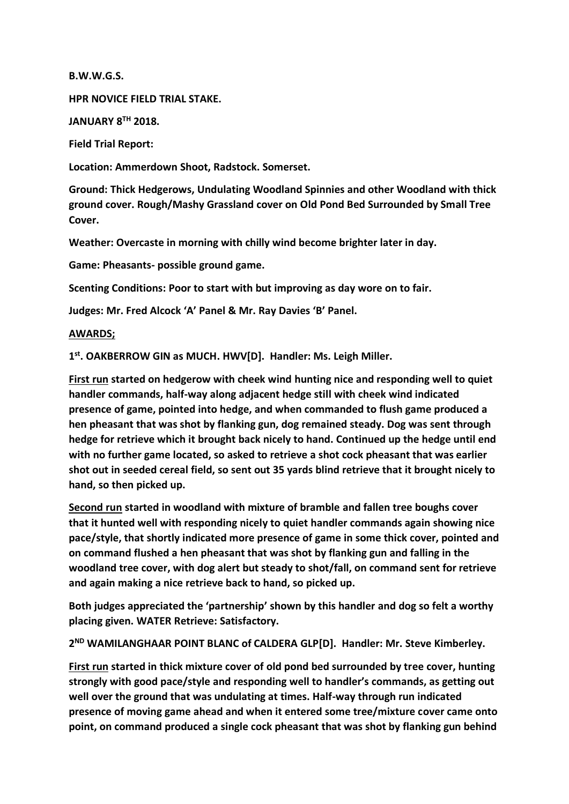**B.W.W.G.S.**

**HPR NOVICE FIELD TRIAL STAKE.**

**JANUARY 8TH 2018.**

**Field Trial Report:**

**Location: Ammerdown Shoot, Radstock. Somerset.**

**Ground: Thick Hedgerows, Undulating Woodland Spinnies and other Woodland with thick ground cover. Rough/Mashy Grassland cover on Old Pond Bed Surrounded by Small Tree Cover.**

**Weather: Overcaste in morning with chilly wind become brighter later in day.**

**Game: Pheasants- possible ground game.**

**Scenting Conditions: Poor to start with but improving as day wore on to fair.**

**Judges: Mr. Fred Alcock 'A' Panel & Mr. Ray Davies 'B' Panel.**

## **AWARDS;**

**1 st. OAKBERROW GIN as MUCH. HWV[D]. Handler: Ms. Leigh Miller.**

**First run started on hedgerow with cheek wind hunting nice and responding well to quiet handler commands, half-way along adjacent hedge still with cheek wind indicated presence of game, pointed into hedge, and when commanded to flush game produced a hen pheasant that was shot by flanking gun, dog remained steady. Dog was sent through hedge for retrieve which it brought back nicely to hand. Continued up the hedge until end with no further game located, so asked to retrieve a shot cock pheasant that was earlier shot out in seeded cereal field, so sent out 35 yards blind retrieve that it brought nicely to hand, so then picked up.**

**Second run started in woodland with mixture of bramble and fallen tree boughs cover that it hunted well with responding nicely to quiet handler commands again showing nice pace/style, that shortly indicated more presence of game in some thick cover, pointed and on command flushed a hen pheasant that was shot by flanking gun and falling in the woodland tree cover, with dog alert but steady to shot/fall, on command sent for retrieve and again making a nice retrieve back to hand, so picked up.** 

**Both judges appreciated the 'partnership' shown by this handler and dog so felt a worthy placing given. WATER Retrieve: Satisfactory.**

**2 ND WAMILANGHAAR POINT BLANC of CALDERA GLP[D]. Handler: Mr. Steve Kimberley.**

**First run started in thick mixture cover of old pond bed surrounded by tree cover, hunting strongly with good pace/style and responding well to handler's commands, as getting out well over the ground that was undulating at times. Half-way through run indicated presence of moving game ahead and when it entered some tree/mixture cover came onto point, on command produced a single cock pheasant that was shot by flanking gun behind**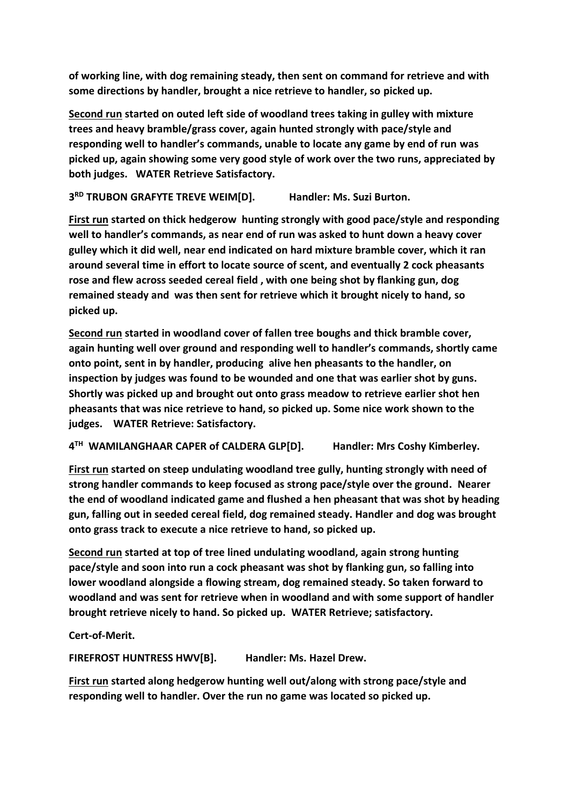**of working line, with dog remaining steady, then sent on command for retrieve and with some directions by handler, brought a nice retrieve to handler, so picked up.**

**Second run started on outed left side of woodland trees taking in gulley with mixture trees and heavy bramble/grass cover, again hunted strongly with pace/style and responding well to handler's commands, unable to locate any game by end of run was picked up, again showing some very good style of work over the two runs, appreciated by both judges. WATER Retrieve Satisfactory.**

**3 RD TRUBON GRAFYTE TREVE WEIM[D]. Handler: Ms. Suzi Burton.** 

**First run started on thick hedgerow hunting strongly with good pace/style and responding well to handler's commands, as near end of run was asked to hunt down a heavy cover gulley which it did well, near end indicated on hard mixture bramble cover, which it ran around several time in effort to locate source of scent, and eventually 2 cock pheasants rose and flew across seeded cereal field , with one being shot by flanking gun, dog remained steady and was then sent for retrieve which it brought nicely to hand, so picked up.**

**Second run started in woodland cover of fallen tree boughs and thick bramble cover, again hunting well over ground and responding well to handler's commands, shortly came onto point, sent in by handler, producing alive hen pheasants to the handler, on inspection by judges was found to be wounded and one that was earlier shot by guns. Shortly was picked up and brought out onto grass meadow to retrieve earlier shot hen pheasants that was nice retrieve to hand, so picked up. Some nice work shown to the judges. WATER Retrieve: Satisfactory.**

**4 TH WAMILANGHAAR CAPER of CALDERA GLP[D]. Handler: Mrs Coshy Kimberley.**

**First run started on steep undulating woodland tree gully, hunting strongly with need of strong handler commands to keep focused as strong pace/style over the ground. Nearer the end of woodland indicated game and flushed a hen pheasant that was shot by heading gun, falling out in seeded cereal field, dog remained steady. Handler and dog was brought onto grass track to execute a nice retrieve to hand, so picked up.**

**Second run started at top of tree lined undulating woodland, again strong hunting pace/style and soon into run a cock pheasant was shot by flanking gun, so falling into lower woodland alongside a flowing stream, dog remained steady. So taken forward to woodland and was sent for retrieve when in woodland and with some support of handler brought retrieve nicely to hand. So picked up. WATER Retrieve; satisfactory.**

**Cert-of-Merit.**

**FIREFROST HUNTRESS HWV[B]. Handler: Ms. Hazel Drew.**

**First run started along hedgerow hunting well out/along with strong pace/style and responding well to handler. Over the run no game was located so picked up.**